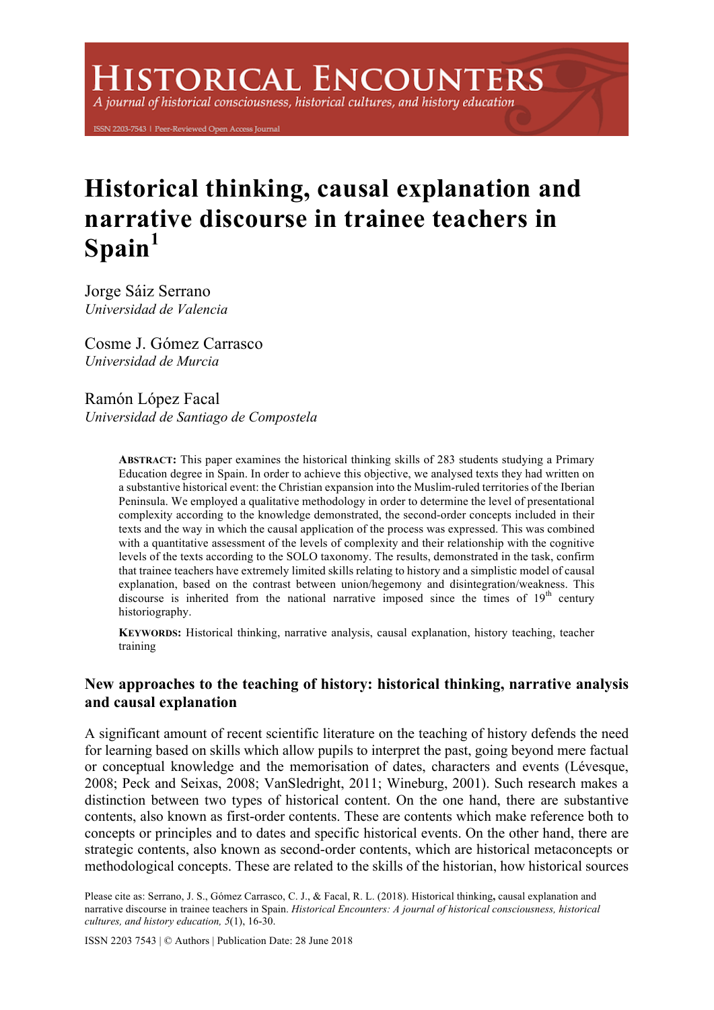# **ISTORICAL ENCOUNTERS**

A journal of historical consciousness, historical cultures, and history education

ISSN 2203-7543 | Peer-Reviewed Open Access Journal

# **Historical thinking, causal explanation and narrative discourse in trainee teachers in Spain<sup>1</sup>**

Jorge Sáiz Serrano *Universidad de Valencia*

Cosme J. Gómez Carrasco *Universidad de Murcia*

Ramón López Facal *Universidad de Santiago de Compostela*

> **ABSTRACT:** This paper examines the historical thinking skills of 283 students studying a Primary Education degree in Spain. In order to achieve this objective, we analysed texts they had written on a substantive historical event: the Christian expansion into the Muslim-ruled territories of the Iberian Peninsula. We employed a qualitative methodology in order to determine the level of presentational complexity according to the knowledge demonstrated, the second-order concepts included in their texts and the way in which the causal application of the process was expressed. This was combined with a quantitative assessment of the levels of complexity and their relationship with the cognitive levels of the texts according to the SOLO taxonomy. The results, demonstrated in the task, confirm that trainee teachers have extremely limited skills relating to history and a simplistic model of causal explanation, based on the contrast between union/hegemony and disintegration/weakness. This discourse is inherited from the national narrative imposed since the times of  $19<sup>th</sup>$  century historiography.

> **KEYWORDS:** Historical thinking, narrative analysis, causal explanation, history teaching, teacher training

# **New approaches to the teaching of history: historical thinking, narrative analysis and causal explanation**

A significant amount of recent scientific literature on the teaching of history defends the need for learning based on skills which allow pupils to interpret the past, going beyond mere factual or conceptual knowledge and the memorisation of dates, characters and events (Lévesque, 2008; Peck and Seixas, 2008; VanSledright, 2011; Wineburg, 2001). Such research makes a distinction between two types of historical content. On the one hand, there are substantive contents, also known as first-order contents. These are contents which make reference both to concepts or principles and to dates and specific historical events. On the other hand, there are strategic contents, also known as second-order contents, which are historical metaconcepts or methodological concepts. These are related to the skills of the historian, how historical sources

Please cite as: Serrano, J. S., Gómez Carrasco, C. J., & Facal, R. L. (2018). Historical thinking**,** causal explanation and narrative discourse in trainee teachers in Spain. *Historical Encounters: A journal of historical consciousness, historical cultures, and history education, 5*(1), 16-30.

ISSN 2203 7543 | © Authors | Publication Date: 28 June 2018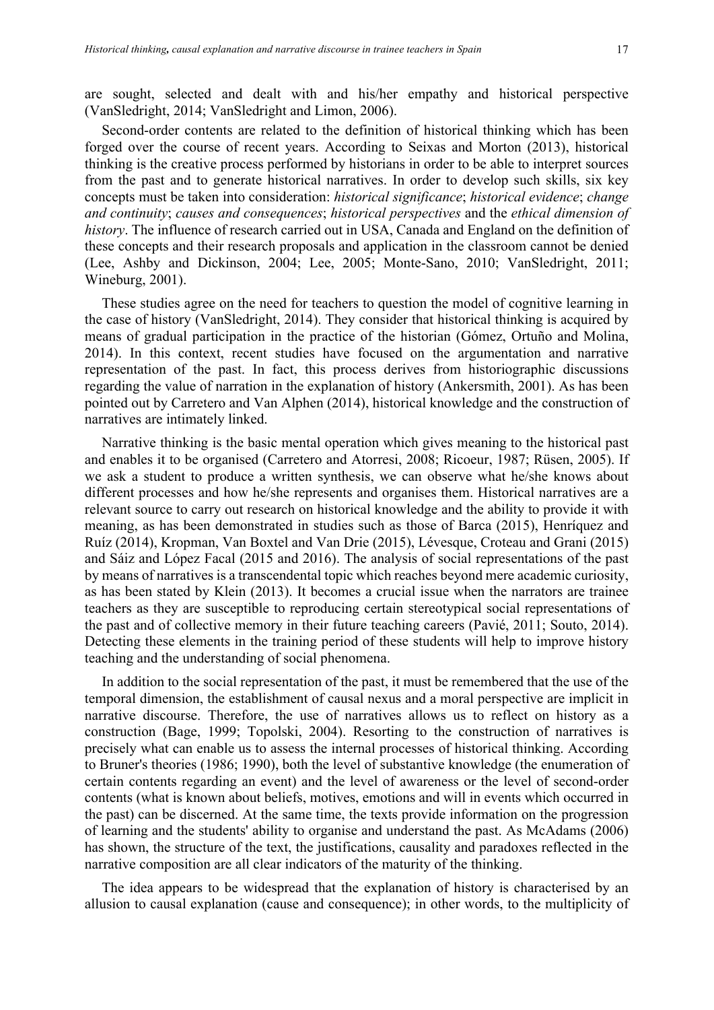are sought, selected and dealt with and his/her empathy and historical perspective (VanSledright, 2014; VanSledright and Limon, 2006).

Second-order contents are related to the definition of historical thinking which has been forged over the course of recent years. According to Seixas and Morton (2013), historical thinking is the creative process performed by historians in order to be able to interpret sources from the past and to generate historical narratives. In order to develop such skills, six key concepts must be taken into consideration: *historical significance*; *historical evidence*; *change and continuity*; *causes and consequences*; *historical perspectives* and the *ethical dimension of history*. The influence of research carried out in USA, Canada and England on the definition of these concepts and their research proposals and application in the classroom cannot be denied (Lee, Ashby and Dickinson, 2004; Lee, 2005; Monte-Sano, 2010; VanSledright, 2011; Wineburg, 2001).

These studies agree on the need for teachers to question the model of cognitive learning in the case of history (VanSledright, 2014). They consider that historical thinking is acquired by means of gradual participation in the practice of the historian (Gómez, Ortuño and Molina, 2014). In this context, recent studies have focused on the argumentation and narrative representation of the past. In fact, this process derives from historiographic discussions regarding the value of narration in the explanation of history (Ankersmith, 2001). As has been pointed out by Carretero and Van Alphen (2014), historical knowledge and the construction of narratives are intimately linked.

Narrative thinking is the basic mental operation which gives meaning to the historical past and enables it to be organised (Carretero and Atorresi, 2008; Ricoeur, 1987; Rüsen, 2005). If we ask a student to produce a written synthesis, we can observe what he/she knows about different processes and how he/she represents and organises them. Historical narratives are a relevant source to carry out research on historical knowledge and the ability to provide it with meaning, as has been demonstrated in studies such as those of Barca (2015), Henríquez and Ruíz (2014), Kropman, Van Boxtel and Van Drie (2015), Lévesque, Croteau and Grani (2015) and Sáiz and López Facal (2015 and 2016). The analysis of social representations of the past by means of narratives is a transcendental topic which reaches beyond mere academic curiosity, as has been stated by Klein (2013). It becomes a crucial issue when the narrators are trainee teachers as they are susceptible to reproducing certain stereotypical social representations of the past and of collective memory in their future teaching careers (Pavié, 2011; Souto, 2014). Detecting these elements in the training period of these students will help to improve history teaching and the understanding of social phenomena.

In addition to the social representation of the past, it must be remembered that the use of the temporal dimension, the establishment of causal nexus and a moral perspective are implicit in narrative discourse. Therefore, the use of narratives allows us to reflect on history as a construction (Bage, 1999; Topolski, 2004). Resorting to the construction of narratives is precisely what can enable us to assess the internal processes of historical thinking. According to Bruner's theories (1986; 1990), both the level of substantive knowledge (the enumeration of certain contents regarding an event) and the level of awareness or the level of second-order contents (what is known about beliefs, motives, emotions and will in events which occurred in the past) can be discerned. At the same time, the texts provide information on the progression of learning and the students' ability to organise and understand the past. As McAdams (2006) has shown, the structure of the text, the justifications, causality and paradoxes reflected in the narrative composition are all clear indicators of the maturity of the thinking.

The idea appears to be widespread that the explanation of history is characterised by an allusion to causal explanation (cause and consequence); in other words, to the multiplicity of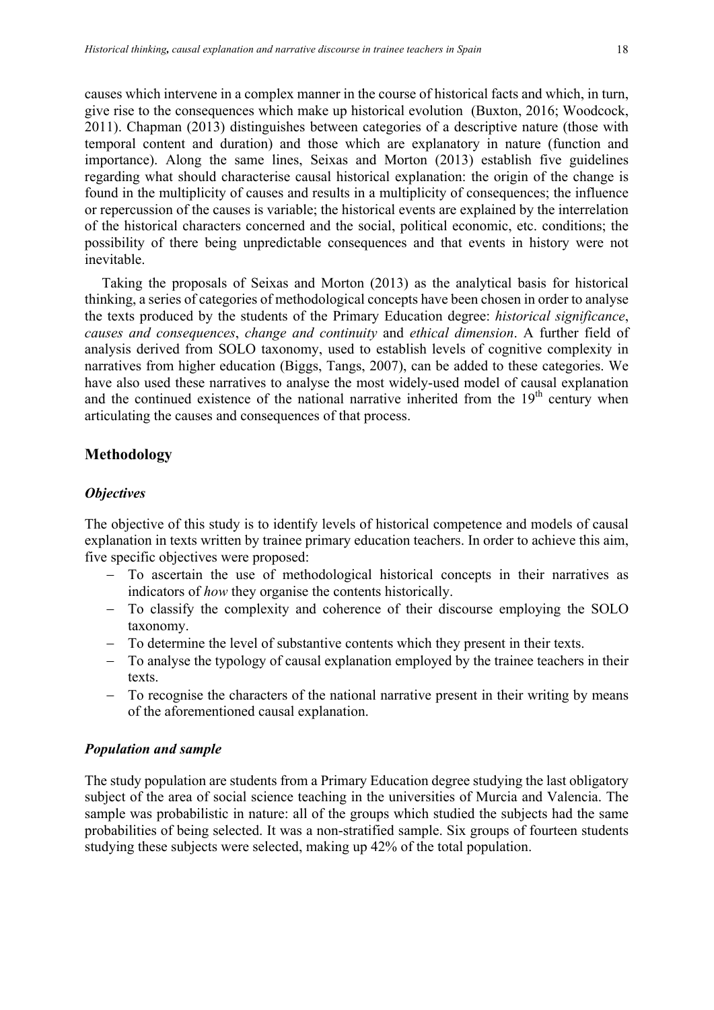causes which intervene in a complex manner in the course of historical facts and which, in turn, give rise to the consequences which make up historical evolution (Buxton, 2016; Woodcock, 2011). Chapman (2013) distinguishes between categories of a descriptive nature (those with temporal content and duration) and those which are explanatory in nature (function and importance). Along the same lines, Seixas and Morton (2013) establish five guidelines regarding what should characterise causal historical explanation: the origin of the change is found in the multiplicity of causes and results in a multiplicity of consequences; the influence or repercussion of the causes is variable; the historical events are explained by the interrelation of the historical characters concerned and the social, political economic, etc. conditions; the possibility of there being unpredictable consequences and that events in history were not inevitable.

Taking the proposals of Seixas and Morton (2013) as the analytical basis for historical thinking, a series of categories of methodological concepts have been chosen in order to analyse the texts produced by the students of the Primary Education degree: *historical significance*, *causes and consequences*, *change and continuity* and *ethical dimension*. A further field of analysis derived from SOLO taxonomy, used to establish levels of cognitive complexity in narratives from higher education (Biggs, Tangs, 2007), can be added to these categories. We have also used these narratives to analyse the most widely-used model of causal explanation and the continued existence of the national narrative inherited from the  $19<sup>th</sup>$  century when articulating the causes and consequences of that process.

## **Methodology**

#### *Objectives*

The objective of this study is to identify levels of historical competence and models of causal explanation in texts written by trainee primary education teachers. In order to achieve this aim, five specific objectives were proposed:

- To ascertain the use of methodological historical concepts in their narratives as indicators of *how* they organise the contents historically.
- To classify the complexity and coherence of their discourse employing the SOLO taxonomy.
- To determine the level of substantive contents which they present in their texts.
- To analyse the typology of causal explanation employed by the trainee teachers in their texts.
- To recognise the characters of the national narrative present in their writing by means of the aforementioned causal explanation.

#### *Population and sample*

The study population are students from a Primary Education degree studying the last obligatory subject of the area of social science teaching in the universities of Murcia and Valencia. The sample was probabilistic in nature: all of the groups which studied the subjects had the same probabilities of being selected. It was a non-stratified sample. Six groups of fourteen students studying these subjects were selected, making up 42% of the total population.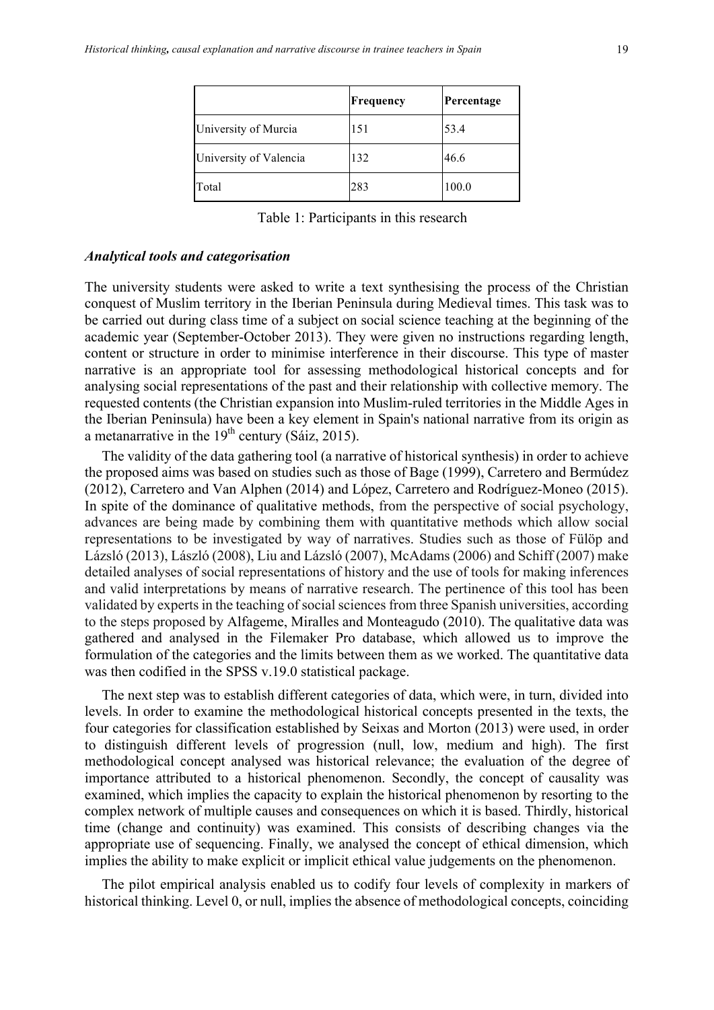|                        | Frequency | Percentage |
|------------------------|-----------|------------|
| University of Murcia   | 151       | 53.4       |
| University of Valencia | 132       | 46.6       |
| Total                  | 283       | 100.0      |

Table 1: Participants in this research

#### *Analytical tools and categorisation*

The university students were asked to write a text synthesising the process of the Christian conquest of Muslim territory in the Iberian Peninsula during Medieval times. This task was to be carried out during class time of a subject on social science teaching at the beginning of the academic year (September-October 2013). They were given no instructions regarding length, content or structure in order to minimise interference in their discourse. This type of master narrative is an appropriate tool for assessing methodological historical concepts and for analysing social representations of the past and their relationship with collective memory. The requested contents (the Christian expansion into Muslim-ruled territories in the Middle Ages in the Iberian Peninsula) have been a key element in Spain's national narrative from its origin as a metanarrative in the  $19<sup>th</sup>$  century (Sáiz, 2015).

The validity of the data gathering tool (a narrative of historical synthesis) in order to achieve the proposed aims was based on studies such as those of Bage (1999), Carretero and Bermúdez (2012), Carretero and Van Alphen (2014) and López, Carretero and Rodríguez-Moneo (2015). In spite of the dominance of qualitative methods, from the perspective of social psychology, advances are being made by combining them with quantitative methods which allow social representations to be investigated by way of narratives. Studies such as those of Fülöp and Lázsló (2013), László (2008), Liu and Lázsló (2007), McAdams (2006) and Schiff (2007) make detailed analyses of social representations of history and the use of tools for making inferences and valid interpretations by means of narrative research. The pertinence of this tool has been validated by experts in the teaching of social sciences from three Spanish universities, according to the steps proposed by Alfageme, Miralles and Monteagudo (2010). The qualitative data was gathered and analysed in the Filemaker Pro database, which allowed us to improve the formulation of the categories and the limits between them as we worked. The quantitative data was then codified in the SPSS v.19.0 statistical package.

The next step was to establish different categories of data, which were, in turn, divided into levels. In order to examine the methodological historical concepts presented in the texts, the four categories for classification established by Seixas and Morton (2013) were used, in order to distinguish different levels of progression (null, low, medium and high). The first methodological concept analysed was historical relevance; the evaluation of the degree of importance attributed to a historical phenomenon. Secondly, the concept of causality was examined, which implies the capacity to explain the historical phenomenon by resorting to the complex network of multiple causes and consequences on which it is based. Thirdly, historical time (change and continuity) was examined. This consists of describing changes via the appropriate use of sequencing. Finally, we analysed the concept of ethical dimension, which implies the ability to make explicit or implicit ethical value judgements on the phenomenon.

The pilot empirical analysis enabled us to codify four levels of complexity in markers of historical thinking. Level 0, or null, implies the absence of methodological concepts, coinciding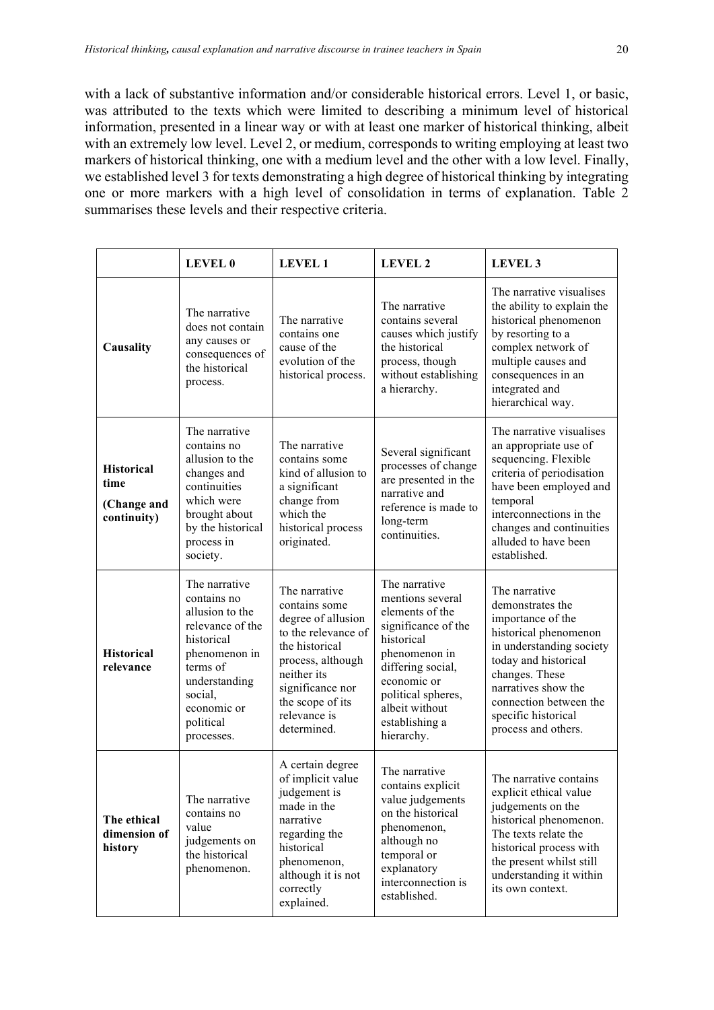with a lack of substantive information and/or considerable historical errors. Level 1, or basic, was attributed to the texts which were limited to describing a minimum level of historical information, presented in a linear way or with at least one marker of historical thinking, albeit with an extremely low level. Level 2, or medium, corresponds to writing employing at least two markers of historical thinking, one with a medium level and the other with a low level. Finally, we established level 3 for texts demonstrating a high degree of historical thinking by integrating one or more markers with a high level of consolidation in terms of explanation. Table 2 summarises these levels and their respective criteria.

|                                                         | <b>LEVEL 0</b>                                                                                                                                                                                                                                                                                                                                                                                                                                                                                                                                                                                      | <b>LEVEL 1</b>                                                                                                                                                                   | <b>LEVEL 2</b>                                                                                                                                                                | <b>LEVEL 3</b>                                                                                                                                                                                                                                       |
|---------------------------------------------------------|-----------------------------------------------------------------------------------------------------------------------------------------------------------------------------------------------------------------------------------------------------------------------------------------------------------------------------------------------------------------------------------------------------------------------------------------------------------------------------------------------------------------------------------------------------------------------------------------------------|----------------------------------------------------------------------------------------------------------------------------------------------------------------------------------|-------------------------------------------------------------------------------------------------------------------------------------------------------------------------------|------------------------------------------------------------------------------------------------------------------------------------------------------------------------------------------------------------------------------------------------------|
| Causality                                               | The narrative<br>does not contain<br>any causes or<br>consequences of<br>the historical<br>process.                                                                                                                                                                                                                                                                                                                                                                                                                                                                                                 | The narrative<br>contains one<br>cause of the<br>evolution of the<br>historical process.                                                                                         | The narrative<br>contains several<br>causes which justify<br>the historical<br>process, though<br>without establishing<br>a hierarchy.                                        | The narrative visualises<br>the ability to explain the<br>historical phenomenon<br>by resorting to a<br>complex network of<br>multiple causes and<br>consequences in an<br>integrated and<br>hierarchical way.                                       |
| <b>Historical</b><br>time<br>(Change and<br>continuity) | The narrative<br>contains no<br>allusion to the<br>changes and<br>continuities<br>which were<br>brought about<br>by the historical<br>process in<br>society.                                                                                                                                                                                                                                                                                                                                                                                                                                        | The narrative<br>contains some<br>kind of allusion to<br>a significant<br>change from<br>which the<br>historical process<br>originated.                                          | Several significant<br>processes of change<br>are presented in the<br>narrative and<br>reference is made to<br>long-term<br>continuities.                                     | The narrative visualises<br>an appropriate use of<br>sequencing. Flexible<br>criteria of periodisation<br>have been employed and<br>temporal<br>interconnections in the<br>changes and continuities<br>alluded to have been<br>established.          |
| <b>Historical</b><br>relevance                          | The narrative<br>The narrative<br>The narrative<br>contains no<br>mentions several<br>contains some<br>allusion to the<br>elements of the<br>degree of allusion<br>relevance of the<br>to the relevance of<br>historical<br>historical<br>the historical<br>phenomenon in<br>phenomenon in<br>process, although<br>terms of<br>differing social,<br>neither its<br>understanding<br>economic or<br>significance nor<br>social,<br>political spheres,<br>the scope of its<br>economic or<br>albeit without<br>relevance is<br>political<br>establishing a<br>determined.<br>hierarchy.<br>processes. |                                                                                                                                                                                  | significance of the                                                                                                                                                           | The narrative<br>demonstrates the<br>importance of the<br>historical phenomenon<br>in understanding society<br>today and historical<br>changes. These<br>narratives show the<br>connection between the<br>specific historical<br>process and others. |
| The ethical<br>dimension of<br>history                  | The narrative<br>contains no<br>value<br>judgements on<br>the historical<br>phenomenon.                                                                                                                                                                                                                                                                                                                                                                                                                                                                                                             | A certain degree<br>of implicit value<br>judgement is<br>made in the<br>narrative<br>regarding the<br>historical<br>phenomenon,<br>although it is not<br>correctly<br>explained. | The narrative<br>contains explicit<br>value judgements<br>on the historical<br>phenomenon,<br>although no<br>temporal or<br>explanatory<br>interconnection is<br>established. | The narrative contains<br>explicit ethical value<br>judgements on the<br>historical phenomenon.<br>The texts relate the<br>historical process with<br>the present whilst still<br>understanding it within<br>its own context.                        |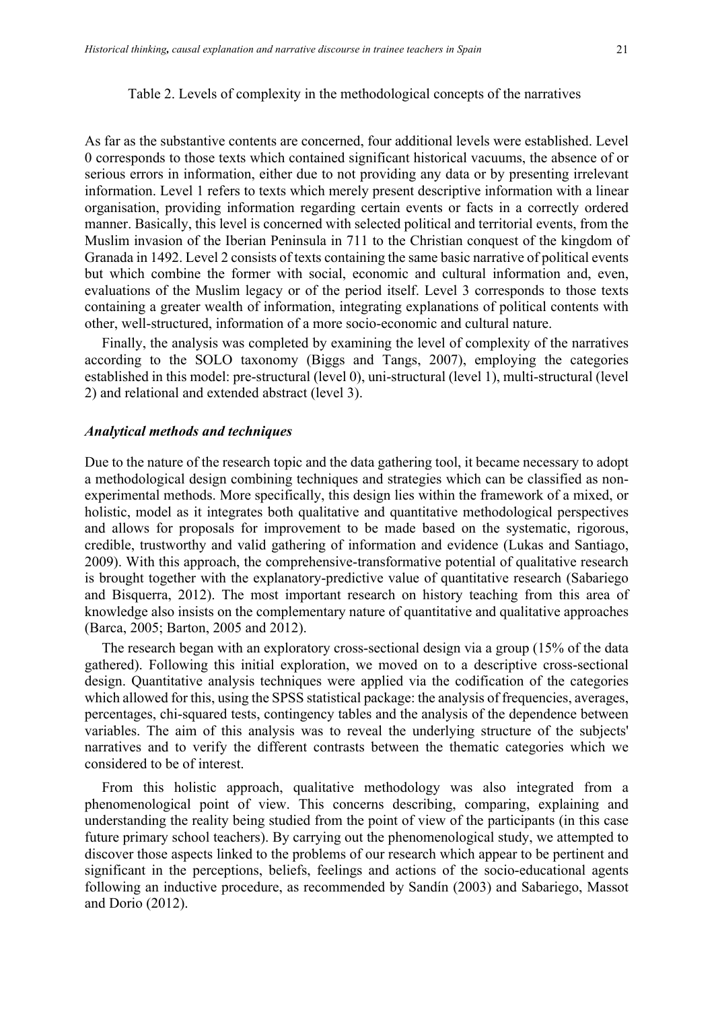#### Table 2. Levels of complexity in the methodological concepts of the narratives

As far as the substantive contents are concerned, four additional levels were established. Level 0 corresponds to those texts which contained significant historical vacuums, the absence of or serious errors in information, either due to not providing any data or by presenting irrelevant information. Level 1 refers to texts which merely present descriptive information with a linear organisation, providing information regarding certain events or facts in a correctly ordered manner. Basically, this level is concerned with selected political and territorial events, from the Muslim invasion of the Iberian Peninsula in 711 to the Christian conquest of the kingdom of Granada in 1492. Level 2 consists of texts containing the same basic narrative of political events but which combine the former with social, economic and cultural information and, even, evaluations of the Muslim legacy or of the period itself. Level 3 corresponds to those texts containing a greater wealth of information, integrating explanations of political contents with other, well-structured, information of a more socio-economic and cultural nature.

Finally, the analysis was completed by examining the level of complexity of the narratives according to the SOLO taxonomy (Biggs and Tangs, 2007), employing the categories established in this model: pre-structural (level 0), uni-structural (level 1), multi-structural (level 2) and relational and extended abstract (level 3).

#### *Analytical methods and techniques*

Due to the nature of the research topic and the data gathering tool, it became necessary to adopt a methodological design combining techniques and strategies which can be classified as nonexperimental methods. More specifically, this design lies within the framework of a mixed, or holistic, model as it integrates both qualitative and quantitative methodological perspectives and allows for proposals for improvement to be made based on the systematic, rigorous, credible, trustworthy and valid gathering of information and evidence (Lukas and Santiago, 2009). With this approach, the comprehensive-transformative potential of qualitative research is brought together with the explanatory-predictive value of quantitative research (Sabariego and Bisquerra, 2012). The most important research on history teaching from this area of knowledge also insists on the complementary nature of quantitative and qualitative approaches (Barca, 2005; Barton, 2005 and 2012).

The research began with an exploratory cross-sectional design via a group (15% of the data gathered). Following this initial exploration, we moved on to a descriptive cross-sectional design. Quantitative analysis techniques were applied via the codification of the categories which allowed for this, using the SPSS statistical package: the analysis of frequencies, averages, percentages, chi-squared tests, contingency tables and the analysis of the dependence between variables. The aim of this analysis was to reveal the underlying structure of the subjects' narratives and to verify the different contrasts between the thematic categories which we considered to be of interest.

From this holistic approach, qualitative methodology was also integrated from a phenomenological point of view. This concerns describing, comparing, explaining and understanding the reality being studied from the point of view of the participants (in this case future primary school teachers). By carrying out the phenomenological study, we attempted to discover those aspects linked to the problems of our research which appear to be pertinent and significant in the perceptions, beliefs, feelings and actions of the socio-educational agents following an inductive procedure, as recommended by Sandín (2003) and Sabariego, Massot and Dorio (2012).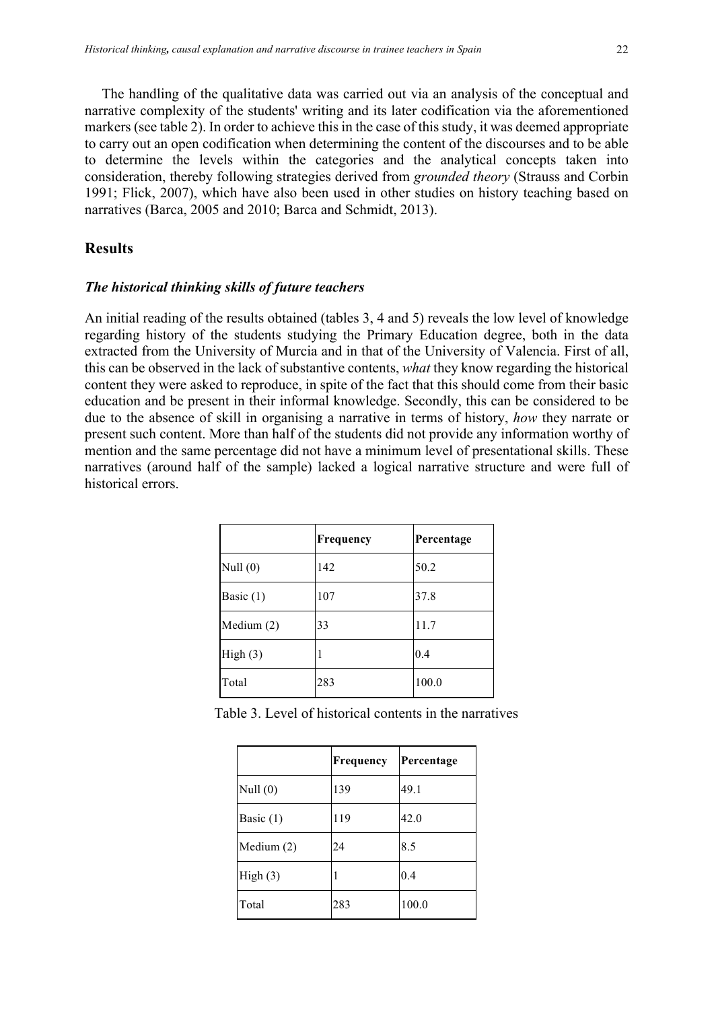The handling of the qualitative data was carried out via an analysis of the conceptual and narrative complexity of the students' writing and its later codification via the aforementioned markers (see table 2). In order to achieve this in the case of this study, it was deemed appropriate to carry out an open codification when determining the content of the discourses and to be able to determine the levels within the categories and the analytical concepts taken into consideration, thereby following strategies derived from *grounded theory* (Strauss and Corbin 1991; Flick, 2007), which have also been used in other studies on history teaching based on narratives (Barca, 2005 and 2010; Barca and Schmidt, 2013).

#### **Results**

#### *The historical thinking skills of future teachers*

An initial reading of the results obtained (tables 3, 4 and 5) reveals the low level of knowledge regarding history of the students studying the Primary Education degree, both in the data extracted from the University of Murcia and in that of the University of Valencia. First of all, this can be observed in the lack of substantive contents, *what* they know regarding the historical content they were asked to reproduce, in spite of the fact that this should come from their basic education and be present in their informal knowledge. Secondly, this can be considered to be due to the absence of skill in organising a narrative in terms of history, *how* they narrate or present such content. More than half of the students did not provide any information worthy of mention and the same percentage did not have a minimum level of presentational skills. These narratives (around half of the sample) lacked a logical narrative structure and were full of historical errors.

|             | Frequency | Percentage |
|-------------|-----------|------------|
| Null $(0)$  | 142       | 50.2       |
| Basic $(1)$ | 107       | 37.8       |
| Medium (2)  | 33        | 11.7       |
| High(3)     | ı         | 0.4        |
| Total       | 283       | 100.0      |

Table 3. Level of historical contents in the narratives

|             | Frequency | Percentage |
|-------------|-----------|------------|
| Null $(0)$  | 139       | 49.1       |
| Basic $(1)$ | 119       | 42.0       |
| Medium (2)  | 24        | 8.5        |
| High(3)     | I         | 0.4        |
| Total       | 283       | 100.0      |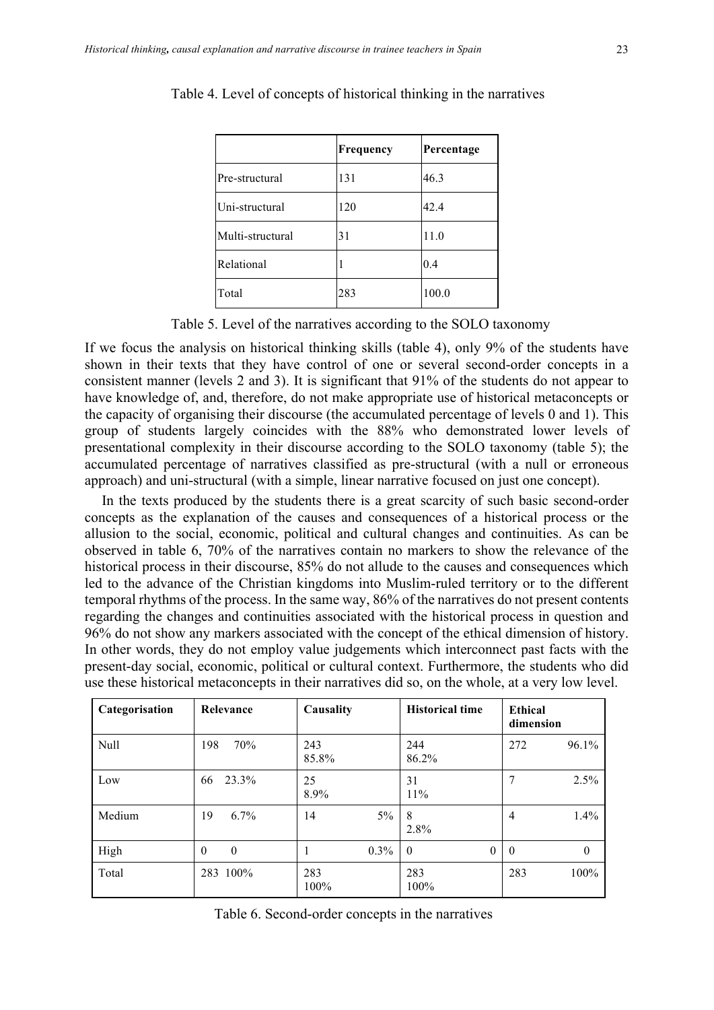|                  | Frequency | Percentage |
|------------------|-----------|------------|
| Pre-structural   | 131       | 46.3       |
| Uni-structural   | 120       | 42.4       |
| Multi-structural | 31        | 11.0       |
| Relational       |           | 0.4        |
| Total            | 283       | 100.0      |

Table 4. Level of concepts of historical thinking in the narratives

|  |  | Table 5. Level of the narratives according to the SOLO taxonomy |  |  |
|--|--|-----------------------------------------------------------------|--|--|
|  |  |                                                                 |  |  |

If we focus the analysis on historical thinking skills (table 4), only 9% of the students have shown in their texts that they have control of one or several second-order concepts in a consistent manner (levels 2 and 3). It is significant that 91% of the students do not appear to have knowledge of, and, therefore, do not make appropriate use of historical metaconcepts or the capacity of organising their discourse (the accumulated percentage of levels 0 and 1). This group of students largely coincides with the 88% who demonstrated lower levels of presentational complexity in their discourse according to the SOLO taxonomy (table 5); the accumulated percentage of narratives classified as pre-structural (with a null or erroneous approach) and uni-structural (with a simple, linear narrative focused on just one concept).

In the texts produced by the students there is a great scarcity of such basic second-order concepts as the explanation of the causes and consequences of a historical process or the allusion to the social, economic, political and cultural changes and continuities. As can be observed in table 6, 70% of the narratives contain no markers to show the relevance of the historical process in their discourse, 85% do not allude to the causes and consequences which led to the advance of the Christian kingdoms into Muslim-ruled territory or to the different temporal rhythms of the process. In the same way, 86% of the narratives do not present contents regarding the changes and continuities associated with the historical process in question and 96% do not show any markers associated with the concept of the ethical dimension of history. In other words, they do not employ value judgements which interconnect past facts with the present-day social, economic, political or cultural context. Furthermore, the students who did use these historical metaconcepts in their narratives did so, on the whole, at a very low level.

| Categorisation | Relevance    | Causality   | <b>Historical time</b> | Ethical<br>dimension |
|----------------|--------------|-------------|------------------------|----------------------|
| Null           | 198          | 243         | 244                    | 96.1%                |
|                | 70%          | 85.8%       | 86.2%                  | 272                  |
| Low            | 23.3%        | 25          | 31                     | 7                    |
|                | 66           | 8.9%        | 11%                    | 2.5%                 |
| Medium         | $6.7\%$      | $5\%$       | 8                      | $1.4\%$              |
|                | 19           | 14          | 2.8%                   | 4                    |
| High           | $\theta$     | $0.3\%$     | $\overline{0}$         | $\theta$             |
|                | $\mathbf{0}$ | н           | $\theta$               | $\mathbf{0}$         |
| Total          | 283 100%     | 283<br>100% | 283<br>100%            | 283<br>100%          |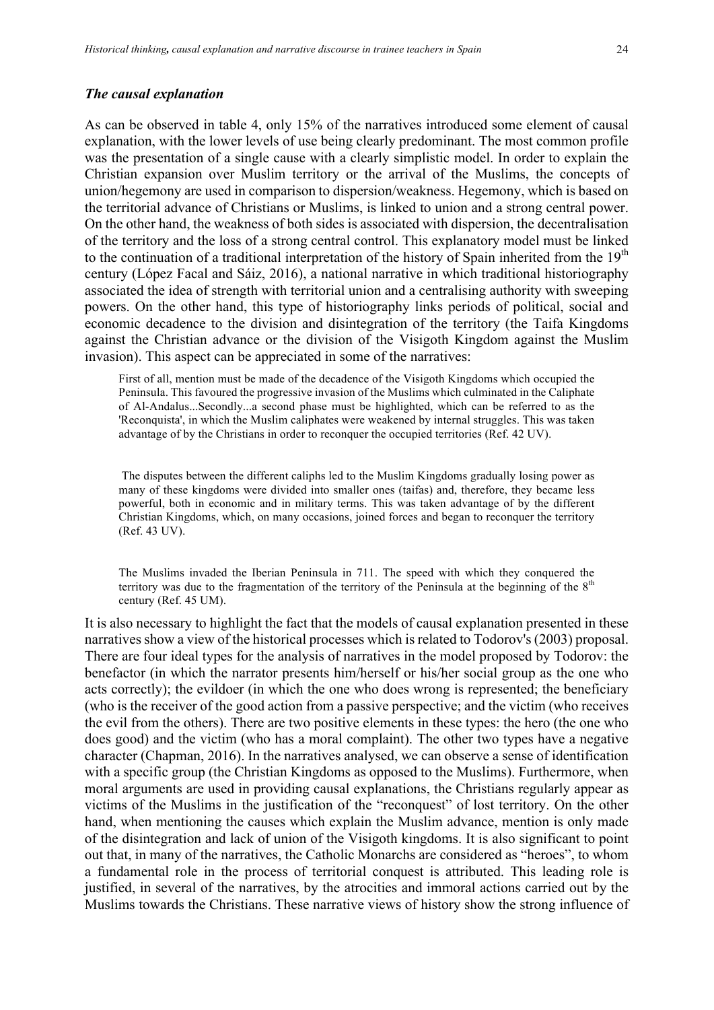#### *The causal explanation*

As can be observed in table 4, only 15% of the narratives introduced some element of causal explanation, with the lower levels of use being clearly predominant. The most common profile was the presentation of a single cause with a clearly simplistic model. In order to explain the Christian expansion over Muslim territory or the arrival of the Muslims, the concepts of union/hegemony are used in comparison to dispersion/weakness. Hegemony, which is based on the territorial advance of Christians or Muslims, is linked to union and a strong central power. On the other hand, the weakness of both sides is associated with dispersion, the decentralisation of the territory and the loss of a strong central control. This explanatory model must be linked to the continuation of a traditional interpretation of the history of Spain inherited from the  $19<sup>th</sup>$ century (López Facal and Sáiz, 2016), a national narrative in which traditional historiography associated the idea of strength with territorial union and a centralising authority with sweeping powers. On the other hand, this type of historiography links periods of political, social and economic decadence to the division and disintegration of the territory (the Taifa Kingdoms against the Christian advance or the division of the Visigoth Kingdom against the Muslim invasion). This aspect can be appreciated in some of the narratives:

First of all, mention must be made of the decadence of the Visigoth Kingdoms which occupied the Peninsula. This favoured the progressive invasion of the Muslims which culminated in the Caliphate of Al-Andalus...Secondly...a second phase must be highlighted, which can be referred to as the 'Reconquista', in which the Muslim caliphates were weakened by internal struggles. This was taken advantage of by the Christians in order to reconquer the occupied territories (Ref. 42 UV).

The disputes between the different caliphs led to the Muslim Kingdoms gradually losing power as many of these kingdoms were divided into smaller ones (taifas) and, therefore, they became less powerful, both in economic and in military terms. This was taken advantage of by the different Christian Kingdoms, which, on many occasions, joined forces and began to reconquer the territory (Ref. 43 UV).

The Muslims invaded the Iberian Peninsula in 711. The speed with which they conquered the territory was due to the fragmentation of the territory of the Peninsula at the beginning of the  $8<sup>th</sup>$ century (Ref. 45 UM).

It is also necessary to highlight the fact that the models of causal explanation presented in these narratives show a view of the historical processes which is related to Todorov's (2003) proposal. There are four ideal types for the analysis of narratives in the model proposed by Todorov: the benefactor (in which the narrator presents him/herself or his/her social group as the one who acts correctly); the evildoer (in which the one who does wrong is represented; the beneficiary (who is the receiver of the good action from a passive perspective; and the victim (who receives the evil from the others). There are two positive elements in these types: the hero (the one who does good) and the victim (who has a moral complaint). The other two types have a negative character (Chapman, 2016). In the narratives analysed, we can observe a sense of identification with a specific group (the Christian Kingdoms as opposed to the Muslims). Furthermore, when moral arguments are used in providing causal explanations, the Christians regularly appear as victims of the Muslims in the justification of the "reconquest" of lost territory. On the other hand, when mentioning the causes which explain the Muslim advance, mention is only made of the disintegration and lack of union of the Visigoth kingdoms. It is also significant to point out that, in many of the narratives, the Catholic Monarchs are considered as "heroes", to whom a fundamental role in the process of territorial conquest is attributed. This leading role is justified, in several of the narratives, by the atrocities and immoral actions carried out by the Muslims towards the Christians. These narrative views of history show the strong influence of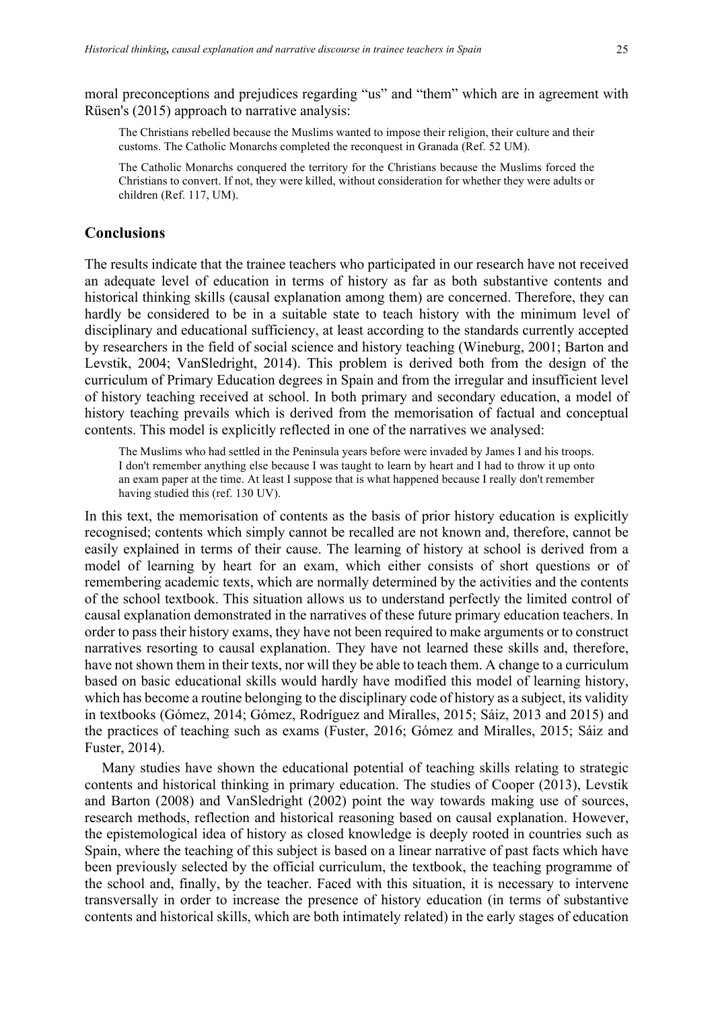The Christians rebelled because the Muslims wanted to impose their religion, their culture and their customs. The Catholic Monarchs completed the reconquest in Granada (Ref. 52 UM).

The Catholic Monarchs conquered the territory for the Christians because the Muslims forced the Christians to convert. If not, they were killed, without consideration for whether they were adults or children (Ref. 117, UM).

# **Conclusions**

The results indicate that the trainee teachers who participated in our research have not received an adequate level of education in terms of history as far as both substantive contents and historical thinking skills (causal explanation among them) are concerned. Therefore, they can hardly be considered to be in a suitable state to teach history with the minimum level of disciplinary and educational sufficiency, at least according to the standards currently accepted by researchers in the field of social science and history teaching (Wineburg, 2001; Barton and Levstik, 2004; VanSledright, 2014). This problem is derived both from the design of the curriculum of Primary Education degrees in Spain and from the irregular and insufficient level of history teaching received at school. In both primary and secondary education, a model of history teaching prevails which is derived from the memorisation of factual and conceptual contents. This model is explicitly reflected in one of the narratives we analysed:

The Muslims who had settled in the Peninsula years before were invaded by James I and his troops. I don't remember anything else because I was taught to learn by heart and I had to throw it up onto an exam paper at the time. At least I suppose that is what happened because I really don't remember having studied this (ref. 130 UV).

In this text, the memorisation of contents as the basis of prior history education is explicitly recognised; contents which simply cannot be recalled are not known and, therefore, cannot be easily explained in terms of their cause. The learning of history at school is derived from a model of learning by heart for an exam, which either consists of short questions or of remembering academic texts, which are normally determined by the activities and the contents of the school textbook. This situation allows us to understand perfectly the limited control of causal explanation demonstrated in the narratives of these future primary education teachers. In order to pass their history exams, they have not been required to make arguments or to construct narratives resorting to causal explanation. They have not learned these skills and, therefore, have not shown them in their texts, nor will they be able to teach them. A change to a curriculum based on basic educational skills would hardly have modified this model of learning history, which has become a routine belonging to the disciplinary code of history as a subject, its validity in textbooks (Gómez, 2014; Gómez, Rodríguez and Miralles, 2015; Sáiz, 2013 and 2015) and the practices of teaching such as exams (Fuster, 2016; Gómez and Miralles, 2015; Sáiz and Fuster, 2014).

Many studies have shown the educational potential of teaching skills relating to strategic contents and historical thinking in primary education. The studies of Cooper (2013), Levstik and Barton (2008) and VanSledright (2002) point the way towards making use of sources, research methods, reflection and historical reasoning based on causal explanation. However, the epistemological idea of history as closed knowledge is deeply rooted in countries such as Spain, where the teaching of this subject is based on a linear narrative of past facts which have been previously selected by the official curriculum, the textbook, the teaching programme of the school and, finally, by the teacher. Faced with this situation, it is necessary to intervene transversally in order to increase the presence of history education (in terms of substantive contents and historical skills, which are both intimately related) in the early stages of education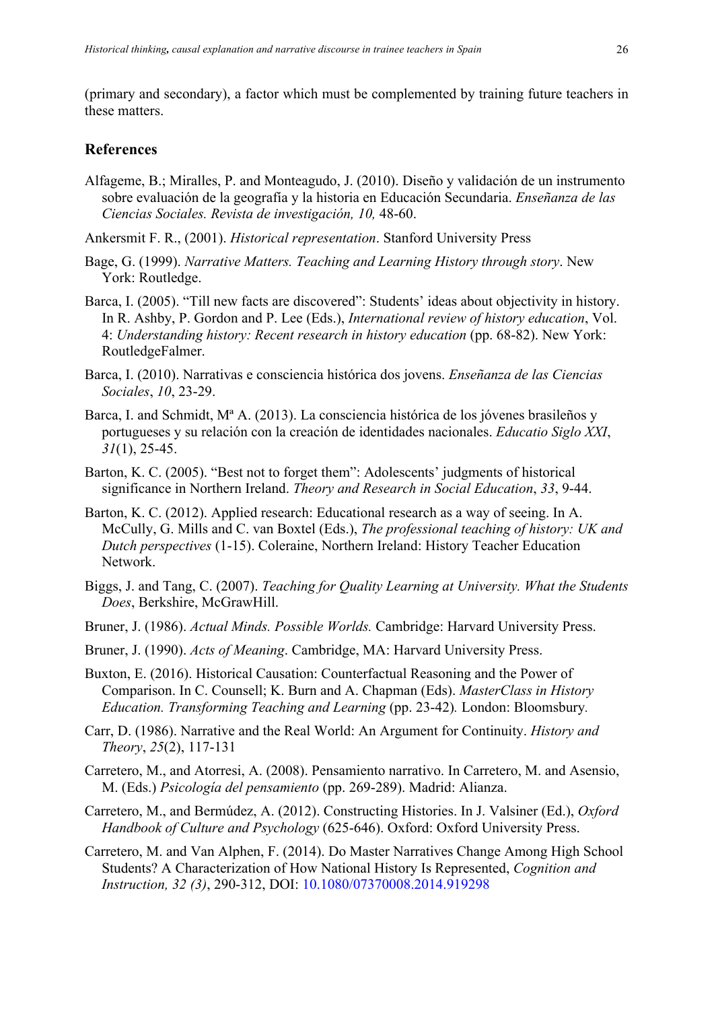(primary and secondary), a factor which must be complemented by training future teachers in these matters.

#### **References**

Alfageme, B.; Miralles, P. and Monteagudo, J. (2010). Diseño y validación de un instrumento sobre evaluación de la geografía y la historia en Educación Secundaria. *Enseñanza de las Ciencias Sociales. Revista de investigación, 10,* 48-60.

Ankersmit F. R., (2001). *Historical representation*. Stanford University Press

- Bage, G. (1999). *Narrative Matters. Teaching and Learning History through story*. New York: Routledge.
- Barca, I. (2005). "Till new facts are discovered": Students' ideas about objectivity in history. In R. Ashby, P. Gordon and P. Lee (Eds.), *International review of history education*, Vol. 4: *Understanding history: Recent research in history education* (pp. 68-82). New York: RoutledgeFalmer.
- Barca, I. (2010). Narrativas e consciencia histórica dos jovens. *Enseñanza de las Ciencias Sociales*, *10*, 23-29.
- Barca, I. and Schmidt, Mª A. (2013). La consciencia histórica de los jóvenes brasileños y portugueses y su relación con la creación de identidades nacionales. *Educatio Siglo XXI*, *31*(1), 25-45.
- Barton, K. C. (2005). "Best not to forget them": Adolescents' judgments of historical significance in Northern Ireland. *Theory and Research in Social Education*, *33*, 9-44.
- Barton, K. C. (2012). Applied research: Educational research as a way of seeing. In A. McCully, G. Mills and C. van Boxtel (Eds.), *The professional teaching of history: UK and Dutch perspectives* (1-15). Coleraine, Northern Ireland: History Teacher Education Network.
- Biggs, J. and Tang, C. (2007). *Teaching for Quality Learning at University. What the Students Does*, Berkshire, McGrawHill.
- Bruner, J. (1986). *Actual Minds. Possible Worlds.* Cambridge: Harvard University Press.
- Bruner, J. (1990). *Acts of Meaning*. Cambridge, MA: Harvard University Press.
- Buxton, E. (2016). Historical Causation: Counterfactual Reasoning and the Power of Comparison. In C. Counsell; K. Burn and A. Chapman (Eds). *MasterClass in History Education. Transforming Teaching and Learning* (pp. 23-42)*.* London: Bloomsbury*.*
- Carr, D. (1986). Narrative and the Real World: An Argument for Continuity. *History and Theory*, *25*(2), 117-131
- Carretero, M., and Atorresi, A. (2008). Pensamiento narrativo. In Carretero, M. and Asensio, M. (Eds.) *Psicología del pensamiento* (pp. 269-289). Madrid: Alianza.
- Carretero, M., and Bermúdez, A. (2012). Constructing Histories. In J. Valsiner (Ed.), *Oxford Handbook of Culture and Psychology* (625-646). Oxford: Oxford University Press.
- Carretero, M. and Van Alphen, F. (2014). Do Master Narratives Change Among High School Students? A Characterization of How National History Is Represented, *Cognition and Instruction, 32 (3)*, 290-312, DOI: 10.1080/07370008.2014.919298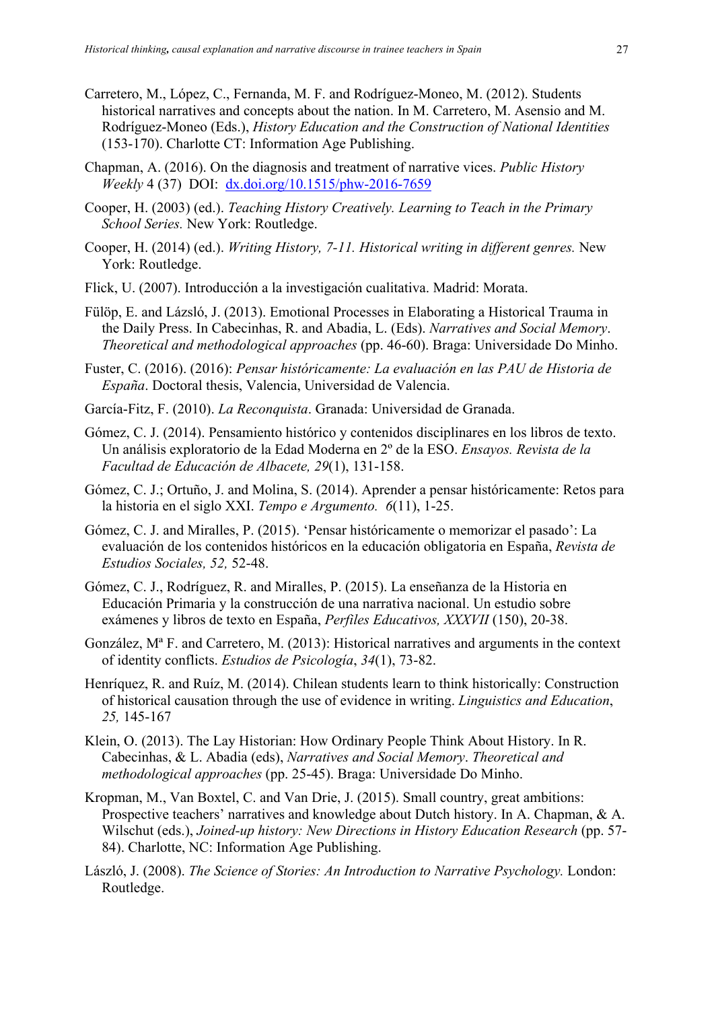- Carretero, M., López, C., Fernanda, M. F. and Rodríguez-Moneo, M. (2012). Students historical narratives and concepts about the nation. In M. Carretero, M. Asensio and M. Rodríguez-Moneo (Eds.), *History Education and the Construction of National Identities*  (153-170). Charlotte CT: Information Age Publishing.
- Chapman, A. (2016). On the diagnosis and treatment of narrative vices. *Public History Weekly* 4 (37) DOI: dx.doi.org/10.1515/phw-2016-7659
- Cooper, H. (2003) (ed.). *Teaching History Creatively. Learning to Teach in the Primary School Series.* New York: Routledge.
- Cooper, H. (2014) (ed.). *Writing History, 7-11. Historical writing in different genres.* New York: Routledge.
- Flick, U. (2007). Introducción a la investigación cualitativa. Madrid: Morata.
- Fülöp, E. and Lázsló, J. (2013). Emotional Processes in Elaborating a Historical Trauma in the Daily Press. In Cabecinhas, R. and Abadia, L. (Eds). *Narratives and Social Memory*. *Theoretical and methodological approaches* (pp. 46-60). Braga: Universidade Do Minho.
- Fuster, C. (2016). (2016): *Pensar históricamente: La evaluación en las PAU de Historia de España*. Doctoral thesis, Valencia, Universidad de Valencia.
- García-Fitz, F. (2010). *La Reconquista*. Granada: Universidad de Granada.
- Gómez, C. J. (2014). Pensamiento histórico y contenidos disciplinares en los libros de texto. Un análisis exploratorio de la Edad Moderna en 2º de la ESO. *Ensayos. Revista de la Facultad de Educación de Albacete, 29*(1), 131-158.
- Gómez, C. J.; Ortuño, J. and Molina, S. (2014). Aprender a pensar históricamente: Retos para la historia en el siglo XXI. *Tempo e Argumento. 6*(11), 1-25.
- Gómez, C. J. and Miralles, P. (2015). 'Pensar históricamente o memorizar el pasado': La evaluación de los contenidos históricos en la educación obligatoria en España, *Revista de Estudios Sociales, 52,* 52-48.
- Gómez, C. J., Rodríguez, R. and Miralles, P. (2015). La enseñanza de la Historia en Educación Primaria y la construcción de una narrativa nacional. Un estudio sobre exámenes y libros de texto en España, *Perfiles Educativos, XXXVII* (150), 20-38.
- González, Mª F. and Carretero, M. (2013): Historical narratives and arguments in the context of identity conflicts. *Estudios de Psicología*, *34*(1), 73-82.
- Henríquez, R. and Ruíz, M. (2014). Chilean students learn to think historically: Construction of historical causation through the use of evidence in writing. *Linguistics and Education*, *25,* 145-167
- Klein, O. (2013). The Lay Historian: How Ordinary People Think About History. In R. Cabecinhas, & L. Abadia (eds), *Narratives and Social Memory*. *Theoretical and methodological approaches* (pp. 25-45). Braga: Universidade Do Minho.
- Kropman, M., Van Boxtel, C. and Van Drie, J. (2015). Small country, great ambitions: Prospective teachers' narratives and knowledge about Dutch history. In A. Chapman, & A. Wilschut (eds.), *Joined-up history: New Directions in History Education Research* (pp. 57- 84). Charlotte, NC: Information Age Publishing.
- László, J. (2008). *The Science of Stories: An Introduction to Narrative Psychology.* London: Routledge.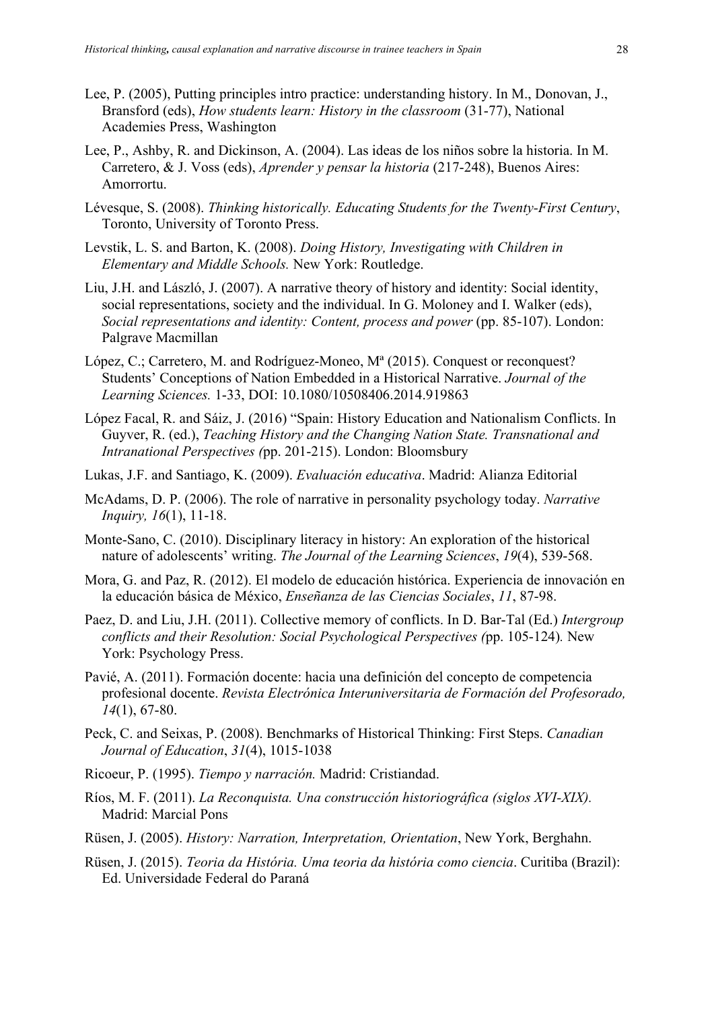- Lee, P. (2005), Putting principles intro practice: understanding history. In M., Donovan, J., Bransford (eds), *How students learn: History in the classroom* (31-77), National Academies Press, Washington
- Lee, P., Ashby, R. and Dickinson, A. (2004). Las ideas de los niños sobre la historia. In M. Carretero, & J. Voss (eds), *Aprender y pensar la historia* (217-248), Buenos Aires: Amorrortu.
- Lévesque, S. (2008). *Thinking historically. Educating Students for the Twenty-First Century*, Toronto, University of Toronto Press.
- Levstik, L. S. and Barton, K. (2008). *Doing History, Investigating with Children in Elementary and Middle Schools.* New York: Routledge.
- Liu, J.H. and László, J. (2007). A narrative theory of history and identity: Social identity, social representations, society and the individual. In G. Moloney and I. Walker (eds), *Social representations and identity: Content, process and power* (pp. 85-107). London: Palgrave Macmillan
- López, C.; Carretero, M. and Rodríguez-Moneo, Mª (2015). Conquest or reconquest? Students' Conceptions of Nation Embedded in a Historical Narrative. *Journal of the Learning Sciences.* 1-33, DOI: 10.1080/10508406.2014.919863
- López Facal, R. and Sáiz, J. (2016) "Spain: History Education and Nationalism Conflicts. In Guyver, R. (ed.), *Teaching History and the Changing Nation State. Transnational and Intranational Perspectives (*pp. 201-215). London: Bloomsbury
- Lukas, J.F. and Santiago, K. (2009). *Evaluación educativa*. Madrid: Alianza Editorial
- McAdams, D. P. (2006). The role of narrative in personality psychology today. *Narrative Inquiry, 16*(1), 11-18.
- Monte-Sano, C. (2010). Disciplinary literacy in history: An exploration of the historical nature of adolescents' writing. *The Journal of the Learning Sciences*, *19*(4), 539-568.
- Mora, G. and Paz, R. (2012). El modelo de educación histórica. Experiencia de innovación en la educación básica de México, *Enseñanza de las Ciencias Sociales*, *11*, 87-98.
- Paez, D. and Liu, J.H. (2011). Collective memory of conflicts. In D. Bar-Tal (Ed.) *Intergroup conflicts and their Resolution: Social Psychological Perspectives (*pp. 105-124)*.* New York: Psychology Press.
- Pavié, A. (2011). Formación docente: hacia una definición del concepto de competencia profesional docente. *Revista Electrónica Interuniversitaria de Formación del Profesorado, 14*(1), 67-80.
- Peck, C. and Seixas, P. (2008). Benchmarks of Historical Thinking: First Steps. *Canadian Journal of Education*, *31*(4), 1015-1038
- Ricoeur, P. (1995). *Tiempo y narración.* Madrid: Cristiandad.
- Ríos, M. F. (2011). *La Reconquista. Una construcción historiográfica (siglos XVI-XIX).*  Madrid: Marcial Pons
- Rüsen, J. (2005). *History: Narration, Interpretation, Orientation*, New York, Berghahn.
- Rüsen, J. (2015). *Teoria da História. Uma teoria da história como ciencia*. Curitiba (Brazil): Ed. Universidade Federal do Paraná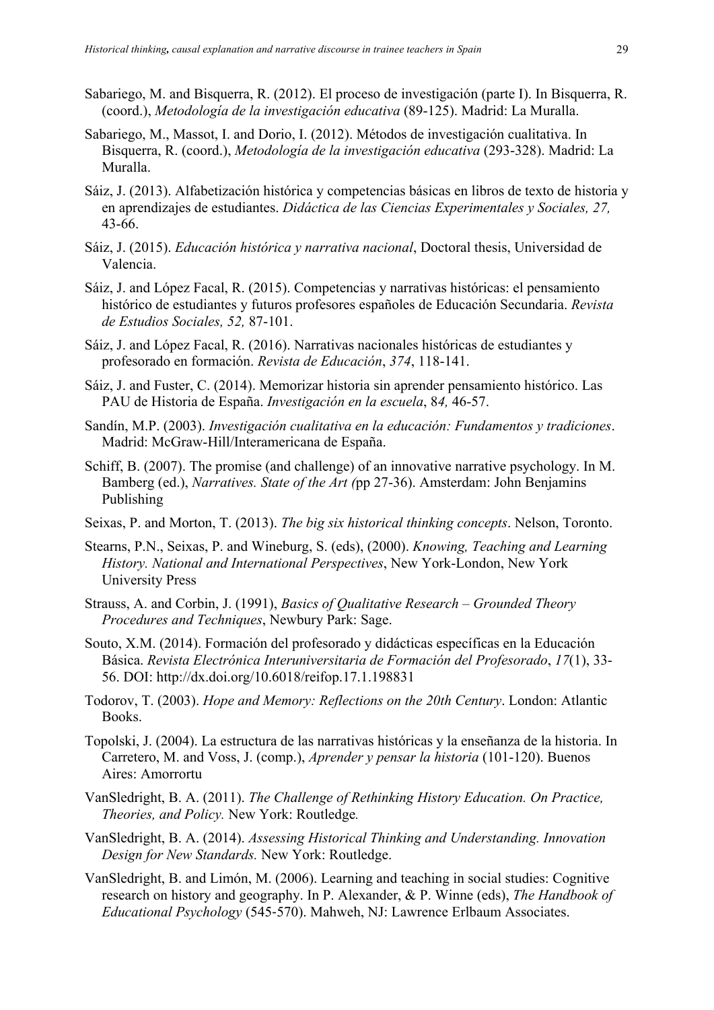- Sabariego, M. and Bisquerra, R. (2012). El proceso de investigación (parte I). In Bisquerra, R. (coord.), *Metodología de la investigación educativa* (89-125). Madrid: La Muralla.
- Sabariego, M., Massot, I. and Dorio, I. (2012). Métodos de investigación cualitativa. In Bisquerra, R. (coord.), *Metodología de la investigación educativa* (293-328). Madrid: La Muralla.
- Sáiz, J. (2013). Alfabetización histórica y competencias básicas en libros de texto de historia y en aprendizajes de estudiantes. *Didáctica de las Ciencias Experimentales y Sociales, 27,*  43-66.
- Sáiz, J. (2015). *Educación histórica y narrativa nacional*, Doctoral thesis, Universidad de Valencia.
- Sáiz, J. and López Facal, R. (2015). Competencias y narrativas históricas: el pensamiento histórico de estudiantes y futuros profesores españoles de Educación Secundaria. *Revista de Estudios Sociales, 52,* 87-101.
- Sáiz, J. and López Facal, R. (2016). Narrativas nacionales históricas de estudiantes y profesorado en formación. *Revista de Educación*, *374*, 118-141.
- Sáiz, J. and Fuster, C. (2014). Memorizar historia sin aprender pensamiento histórico. Las PAU de Historia de España. *Investigación en la escuela*, 8*4,* 46-57.
- Sandín, M.P. (2003). *Investigación cualitativa en la educación: Fundamentos y tradiciones*. Madrid: McGraw-Hill/Interamericana de España.
- Schiff, B. (2007). The promise (and challenge) of an innovative narrative psychology. In M. Bamberg (ed.), *Narratives. State of the Art (*pp 27-36). Amsterdam: John Benjamins Publishing
- Seixas, P. and Morton, T. (2013). *The big six historical thinking concepts*. Nelson, Toronto.
- Stearns, P.N., Seixas, P. and Wineburg, S. (eds), (2000). *Knowing, Teaching and Learning History. National and International Perspectives*, New York-London, New York University Press
- Strauss, A. and Corbin, J. (1991), *Basics of Qualitative Research – Grounded Theory Procedures and Techniques*, Newbury Park: Sage.
- Souto, X.M. (2014). Formación del profesorado y didácticas específicas en la Educación Básica. *Revista Electrónica Interuniversitaria de Formación del Profesorado*, *17*(1), 33- 56. DOI: http://dx.doi.org/10.6018/reifop.17.1.198831
- Todorov, T. (2003). *Hope and Memory: Reflections on the 20th Century*. London: Atlantic Books.
- Topolski, J. (2004). La estructura de las narrativas históricas y la enseñanza de la historia. In Carretero, M. and Voss, J. (comp.), *Aprender y pensar la historia* (101-120). Buenos Aires: Amorrortu
- VanSledright, B. A. (2011). *The Challenge of Rethinking History Education. On Practice, Theories, and Policy.* New York: Routledge*.*
- VanSledright, B. A. (2014). *Assessing Historical Thinking and Understanding. Innovation Design for New Standards.* New York: Routledge.
- VanSledright, B. and Limón, M. (2006). Learning and teaching in social studies: Cognitive research on history and geography. In P. Alexander, & P. Winne (eds), *The Handbook of Educational Psychology* (545-570). Mahweh, NJ: Lawrence Erlbaum Associates.